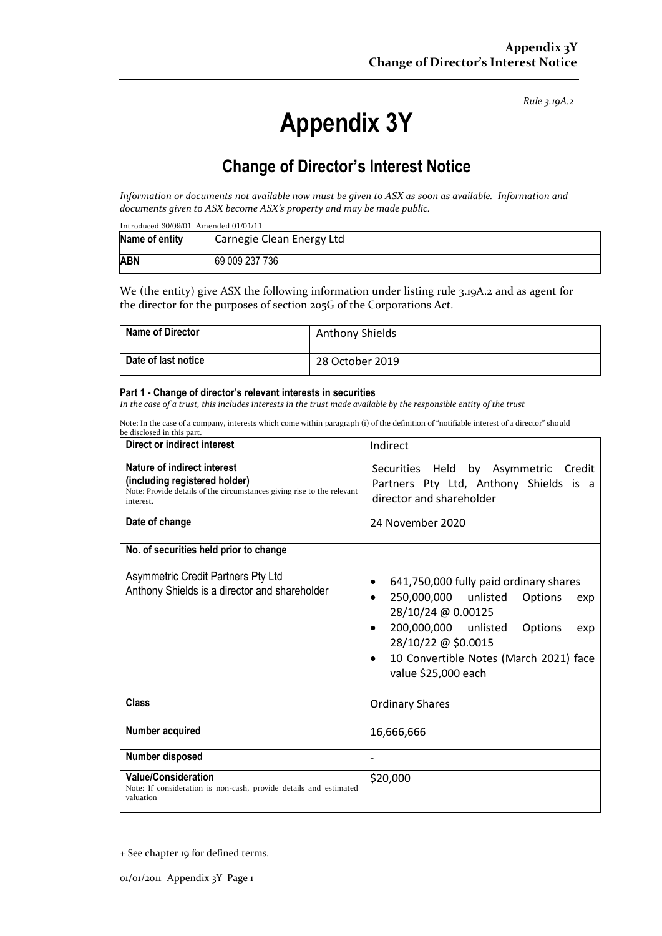*Rule 3.19A.2*

# **Appendix 3Y**

# **Change of Director's Interest Notice**

*Information or documents not available now must be given to ASX as soon as available. Information and documents given to ASX become ASX's property and may be made public.*

| Introduced $30/09/01$ Amended $01/01/11$ |                           |  |  |  |
|------------------------------------------|---------------------------|--|--|--|
| Name of entity                           | Carnegie Clean Energy Ltd |  |  |  |
| <b>ABN</b>                               | 69 009 237 736            |  |  |  |

We (the entity) give ASX the following information under listing rule 3.19A.2 and as agent for the director for the purposes of section 205G of the Corporations Act.

| <b>Name of Director</b> | <b>Anthony Shields</b> |
|-------------------------|------------------------|
| Date of last notice     | 28 October 2019        |

#### **Part 1 - Change of director's relevant interests in securities**

*In the case of a trust, this includes interests in the trust made available by the responsible entity of the trust*

Note: In the case of a company, interests which come within paragraph (i) of the definition of "notifiable interest of a director" should

| be disclosed in this part.                                                                                                                                 |                                                                                                                                                                                                                                                                                      |  |
|------------------------------------------------------------------------------------------------------------------------------------------------------------|--------------------------------------------------------------------------------------------------------------------------------------------------------------------------------------------------------------------------------------------------------------------------------------|--|
| Direct or indirect interest                                                                                                                                | Indirect                                                                                                                                                                                                                                                                             |  |
| <b>Nature of indirect interest</b><br>(including registered holder)<br>Note: Provide details of the circumstances giving rise to the relevant<br>interest. | Securities Held<br>by Asymmetric Credit<br>Partners Pty Ltd, Anthony Shields is a<br>director and shareholder                                                                                                                                                                        |  |
| Date of change                                                                                                                                             | 24 November 2020                                                                                                                                                                                                                                                                     |  |
| No. of securities held prior to change<br>Asymmetric Credit Partners Pty Ltd<br>Anthony Shields is a director and shareholder                              | 641,750,000 fully paid ordinary shares<br>٠<br>250,000,000 unlisted<br>Options<br>$\bullet$<br>exp<br>28/10/24 @ 0.00125<br>200,000,000 unlisted<br>Options<br>$\bullet$<br>exp<br>28/10/22 @ \$0.0015<br>10 Convertible Notes (March 2021) face<br>$\bullet$<br>value \$25,000 each |  |
| <b>Class</b>                                                                                                                                               | <b>Ordinary Shares</b>                                                                                                                                                                                                                                                               |  |
| Number acquired                                                                                                                                            | 16,666,666                                                                                                                                                                                                                                                                           |  |
| Number disposed                                                                                                                                            |                                                                                                                                                                                                                                                                                      |  |
| <b>Value/Consideration</b><br>Note: If consideration is non-cash, provide details and estimated<br>valuation                                               | \$20,000                                                                                                                                                                                                                                                                             |  |

<sup>+</sup> See chapter 19 for defined terms.